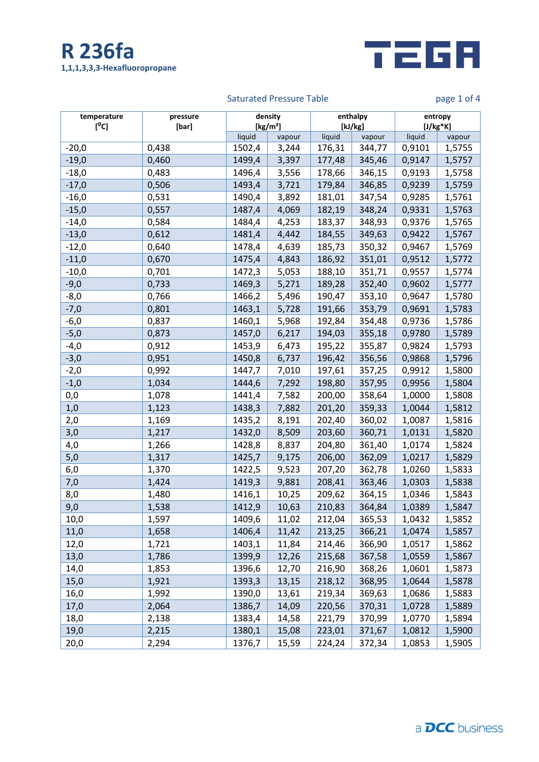



## Saturated Pressure Table **page 1 of 4**

| temperature<br>[°C] | pressure<br>[bar] | density<br>[kg/m <sup>3</sup> ] |        | enthalpy<br>[kJ/kg] |        | entropy<br>$[J/kg*K]$ |        |
|---------------------|-------------------|---------------------------------|--------|---------------------|--------|-----------------------|--------|
|                     |                   | liquid                          | vapour | liquid              | vapour | liquid                | vapour |
| $-20,0$             | 0,438             | 1502,4                          | 3,244  | 176,31              | 344,77 | 0,9101                | 1,5755 |
| $-19,0$             | 0,460             | 1499,4                          | 3,397  | 177,48              | 345,46 | 0,9147                | 1,5757 |
| $-18,0$             | 0,483             | 1496,4                          | 3,556  | 178,66              | 346,15 | 0,9193                | 1,5758 |
| $-17,0$             | 0,506             | 1493,4                          | 3,721  | 179,84              | 346,85 | 0,9239                | 1,5759 |
| $-16,0$             | 0,531             | 1490,4                          | 3,892  | 181,01              | 347,54 | 0,9285                | 1,5761 |
| $-15,0$             | 0,557             | 1487,4                          | 4,069  | 182,19              | 348,24 | 0,9331                | 1,5763 |
| $-14,0$             | 0,584             | 1484,4                          | 4,253  | 183,37              | 348,93 | 0,9376                | 1,5765 |
| $-13,0$             | 0,612             | 1481,4                          | 4,442  | 184,55              | 349,63 | 0,9422                | 1,5767 |
| $-12,0$             | 0,640             | 1478,4                          | 4,639  | 185,73              | 350,32 | 0,9467                | 1,5769 |
| $-11,0$             | 0,670             | 1475,4                          | 4,843  | 186,92              | 351,01 | 0,9512                | 1,5772 |
| $-10,0$             | 0,701             | 1472,3                          | 5,053  | 188,10              | 351,71 | 0,9557                | 1,5774 |
| $-9,0$              | 0,733             | 1469,3                          | 5,271  | 189,28              | 352,40 | 0,9602                | 1,5777 |
| $-8,0$              | 0,766             | 1466,2                          | 5,496  | 190,47              | 353,10 | 0,9647                | 1,5780 |
| $-7,0$              | 0,801             | 1463,1                          | 5,728  | 191,66              | 353,79 | 0,9691                | 1,5783 |
| $-6,0$              | 0,837             | 1460,1                          | 5,968  | 192,84              | 354,48 | 0,9736                | 1,5786 |
| $-5,0$              | 0,873             | 1457,0                          | 6,217  | 194,03              | 355,18 | 0,9780                | 1,5789 |
| $-4,0$              | 0,912             | 1453,9                          | 6,473  | 195,22              | 355,87 | 0,9824                | 1,5793 |
| $-3,0$              | 0,951             | 1450,8                          | 6,737  | 196,42              | 356,56 | 0,9868                | 1,5796 |
| $-2,0$              | 0,992             | 1447,7                          | 7,010  | 197,61              | 357,25 | 0,9912                | 1,5800 |
| $-1,0$              | 1,034             | 1444,6                          | 7,292  | 198,80              | 357,95 | 0,9956                | 1,5804 |
| 0,0                 | 1,078             | 1441,4                          | 7,582  | 200,00              | 358,64 | 1,0000                | 1,5808 |
| 1,0                 | 1,123             | 1438,3                          | 7,882  | 201,20              | 359,33 | 1,0044                | 1,5812 |
| 2,0                 | 1,169             | 1435,2                          | 8,191  | 202,40              | 360,02 | 1,0087                | 1,5816 |
| 3,0                 | 1,217             | 1432,0                          | 8,509  | 203,60              | 360,71 | 1,0131                | 1,5820 |
| 4,0                 | 1,266             | 1428,8                          | 8,837  | 204,80              | 361,40 | 1,0174                | 1,5824 |
| 5,0                 | 1,317             | 1425,7                          | 9,175  | 206,00              | 362,09 | 1,0217                | 1,5829 |
| 6,0                 | 1,370             | 1422,5                          | 9,523  | 207,20              | 362,78 | 1,0260                | 1,5833 |
| 7,0                 | 1,424             | 1419,3                          | 9,881  | 208,41              | 363,46 | 1,0303                | 1,5838 |
| 8,0                 | 1,480             | 1416,1                          | 10,25  | 209,62              | 364,15 | 1,0346                | 1,5843 |
| 9,0                 | 1,538             | 1412,9                          | 10,63  | 210,83              | 364,84 | 1,0389                | 1,5847 |
| 10,0                | 1,597             | 1409,6                          | 11,02  | 212,04              | 365,53 | 1,0432                | 1,5852 |
| 11,0                | 1,658             | 1406,4                          | 11,42  | 213,25              | 366,21 | 1,0474                | 1,5857 |
| 12,0                | 1,721             | 1403,1                          | 11,84  | 214,46              | 366,90 | 1,0517                | 1,5862 |
| 13,0                | 1,786             | 1399,9                          | 12,26  | 215,68              | 367,58 | 1,0559                | 1,5867 |
| 14,0                | 1,853             | 1396,6                          | 12,70  | 216,90              | 368,26 | 1,0601                | 1,5873 |
| 15,0                | 1,921             | 1393,3                          | 13,15  | 218,12              | 368,95 | 1,0644                | 1,5878 |
| 16,0                | 1,992             | 1390,0                          | 13,61  | 219,34              | 369,63 | 1,0686                | 1,5883 |
| 17,0                | 2,064             | 1386,7                          | 14,09  | 220,56              | 370,31 | 1,0728                | 1,5889 |
| 18,0                | 2,138             | 1383,4                          | 14,58  | 221,79              | 370,99 | 1,0770                | 1,5894 |
| 19,0                | 2,215             | 1380,1                          | 15,08  | 223,01              | 371,67 | 1,0812                | 1,5900 |
| 20,0                | 2,294             | 1376,7                          | 15,59  | 224,24              | 372,34 | 1,0853                | 1,5905 |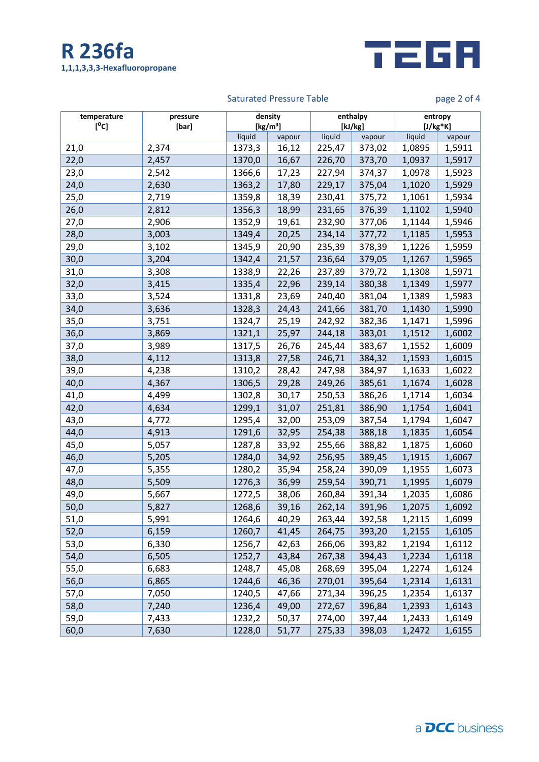



## Saturated Pressure Table **page 2 of 4**

| temperature | pressure | density<br>[kg/m <sup>3</sup> ] |                 | enthalpy         |                  | entropy          |                  |
|-------------|----------|---------------------------------|-----------------|------------------|------------------|------------------|------------------|
| [°C]        | [bar]    | liquid                          |                 |                  | [kJ/kg]          | $[J/kg*K]$       |                  |
| 21,0        | 2,374    | 1373,3                          | vapour<br>16,12 | liquid<br>225,47 | vapour<br>373,02 | liquid<br>1,0895 | vapour<br>1,5911 |
| 22,0        | 2,457    | 1370,0                          | 16,67           | 226,70           | 373,70           | 1,0937           | 1,5917           |
| 23,0        | 2,542    | 1366,6                          | 17,23           | 227,94           | 374,37           | 1,0978           | 1,5923           |
| 24,0        | 2,630    | 1363,2                          | 17,80           | 229,17           | 375,04           | 1,1020           | 1,5929           |
| 25,0        | 2,719    | 1359,8                          | 18,39           | 230,41           | 375,72           | 1,1061           | 1,5934           |
| 26,0        | 2,812    | 1356,3                          | 18,99           | 231,65           | 376,39           | 1,1102           | 1,5940           |
| 27,0        | 2,906    | 1352,9                          | 19,61           | 232,90           | 377,06           | 1,1144           | 1,5946           |
|             |          |                                 |                 |                  |                  |                  |                  |
| 28,0        | 3,003    | 1349,4                          | 20,25           | 234,14           | 377,72           | 1,1185           | 1,5953           |
| 29,0        | 3,102    | 1345,9                          | 20,90           | 235,39           | 378,39           | 1,1226           | 1,5959           |
| 30,0        | 3,204    | 1342,4                          | 21,57           | 236,64           | 379,05           | 1,1267           | 1,5965           |
| 31,0        | 3,308    | 1338,9                          | 22,26           | 237,89           | 379,72           | 1,1308           | 1,5971           |
| 32,0        | 3,415    | 1335,4                          | 22,96           | 239,14           | 380,38           | 1,1349           | 1,5977           |
| 33,0        | 3,524    | 1331,8                          | 23,69           | 240,40           | 381,04           | 1,1389           | 1,5983           |
| 34,0        | 3,636    | 1328,3                          | 24,43           | 241,66           | 381,70           | 1,1430           | 1,5990           |
| 35,0        | 3,751    | 1324,7                          | 25,19           | 242,92           | 382,36           | 1,1471           | 1,5996           |
| 36,0        | 3,869    | 1321,1                          | 25,97           | 244,18           | 383,01           | 1,1512           | 1,6002           |
| 37,0        | 3,989    | 1317,5                          | 26,76           | 245,44           | 383,67           | 1,1552           | 1,6009           |
| 38,0        | 4,112    | 1313,8                          | 27,58           | 246,71           | 384,32           | 1,1593           | 1,6015           |
| 39,0        | 4,238    | 1310,2                          | 28,42           | 247,98           | 384,97           | 1,1633           | 1,6022           |
| 40,0        | 4,367    | 1306,5                          | 29,28           | 249,26           | 385,61           | 1,1674           | 1,6028           |
| 41,0        | 4,499    | 1302,8                          | 30,17           | 250,53           | 386,26           | 1,1714           | 1,6034           |
| 42,0        | 4,634    | 1299,1                          | 31,07           | 251,81           | 386,90           | 1,1754           | 1,6041           |
| 43,0        | 4,772    | 1295,4                          | 32,00           | 253,09           | 387,54           | 1,1794           | 1,6047           |
| 44,0        | 4,913    | 1291,6                          | 32,95           | 254,38           | 388,18           | 1,1835           | 1,6054           |
| 45,0        | 5,057    | 1287,8                          | 33,92           | 255,66           | 388,82           | 1,1875           | 1,6060           |
| 46,0        | 5,205    | 1284,0                          | 34,92           | 256,95           | 389,45           | 1,1915           | 1,6067           |
| 47,0        | 5,355    | 1280,2                          | 35,94           | 258,24           | 390,09           | 1,1955           | 1,6073           |
| 48,0        | 5,509    | 1276,3                          | 36,99           | 259,54           | 390,71           | 1,1995           | 1,6079           |
| 49,0        | 5,667    | 1272,5                          | 38,06           | 260,84           | 391,34           | 1,2035           | 1,6086           |
| 50,0        | 5,827    | 1268,6                          | 39,16           | 262,14           | 391,96           | 1,2075           | 1,6092           |
| 51,0        | 5,991    | 1264,6                          | 40,29           | 263,44           | 392,58           | 1,2115           | 1,6099           |
| 52,0        | 6,159    | 1260,7                          | 41,45           | 264,75           | 393,20           | 1,2155           | 1,6105           |
| 53,0        | 6,330    | 1256,7                          | 42,63           | 266,06           | 393,82           | 1,2194           | 1,6112           |
| 54,0        | 6,505    | 1252,7                          | 43,84           | 267,38           | 394,43           | 1,2234           | 1,6118           |
| 55,0        | 6,683    | 1248,7                          | 45,08           | 268,69           | 395,04           | 1,2274           | 1,6124           |
| 56,0        | 6,865    | 1244,6                          | 46,36           | 270,01           | 395,64           | 1,2314           | 1,6131           |
| 57,0        | 7,050    | 1240,5                          | 47,66           | 271,34           | 396,25           | 1,2354           | 1,6137           |
| 58,0        | 7,240    | 1236,4                          | 49,00           | 272,67           | 396,84           | 1,2393           | 1,6143           |
| 59,0        | 7,433    | 1232,2                          | 50,37           | 274,00           | 397,44           | 1,2433           | 1,6149           |
| 60,0        | 7,630    | 1228,0                          | 51,77           | 275,33           | 398,03           | 1,2472           | 1,6155           |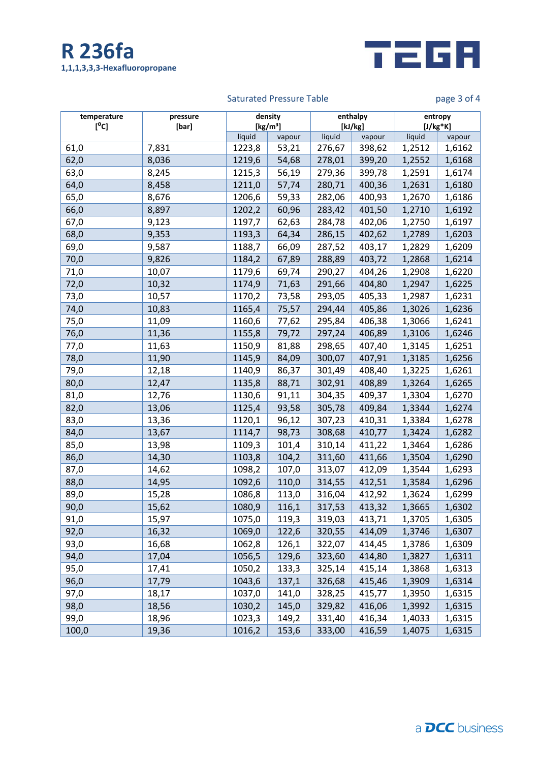



## Saturated Pressure Table **page 3 of 4**

| temperature<br>[°c] | pressure<br>[bar] | density<br>[kg/m <sup>3</sup> ] |        | enthalpy<br>[kJ/kg] |        | entropy<br>$[J/kg*K]$ |        |
|---------------------|-------------------|---------------------------------|--------|---------------------|--------|-----------------------|--------|
|                     |                   | liquid                          | vapour | liquid              | vapour | liquid                | vapour |
| 61,0                | 7,831             | 1223,8                          | 53,21  | 276,67              | 398,62 | 1,2512                | 1,6162 |
| 62,0                | 8,036             | 1219,6                          | 54,68  | 278,01              | 399,20 | 1,2552                | 1,6168 |
| 63,0                | 8,245             | 1215,3                          | 56,19  | 279,36              | 399,78 | 1,2591                | 1,6174 |
| 64,0                | 8,458             | 1211,0                          | 57,74  | 280,71              | 400,36 | 1,2631                | 1,6180 |
| 65,0                | 8,676             | 1206,6                          | 59,33  | 282,06              | 400,93 | 1,2670                | 1,6186 |
| 66,0                | 8,897             | 1202,2                          | 60,96  | 283,42              | 401,50 | 1,2710                | 1,6192 |
| 67,0                | 9,123             | 1197,7                          | 62,63  | 284,78              | 402,06 | 1,2750                | 1,6197 |
| 68,0                | 9,353             | 1193,3                          | 64,34  | 286,15              | 402,62 | 1,2789                | 1,6203 |
| 69,0                | 9,587             | 1188,7                          | 66,09  | 287,52              | 403,17 | 1,2829                | 1,6209 |
| 70,0                | 9,826             | 1184,2                          | 67,89  | 288,89              | 403,72 | 1,2868                | 1,6214 |
| 71,0                | 10,07             | 1179,6                          | 69,74  | 290,27              | 404,26 | 1,2908                | 1,6220 |
| 72,0                | 10,32             | 1174,9                          | 71,63  | 291,66              | 404,80 | 1,2947                | 1,6225 |
| 73,0                | 10,57             | 1170,2                          | 73,58  | 293,05              | 405,33 | 1,2987                | 1,6231 |
| 74,0                | 10,83             | 1165,4                          | 75,57  | 294,44              | 405,86 | 1,3026                | 1,6236 |
| 75,0                | 11,09             | 1160,6                          | 77,62  | 295,84              | 406,38 | 1,3066                | 1,6241 |
| 76,0                | 11,36             | 1155,8                          | 79,72  | 297,24              | 406,89 | 1,3106                | 1,6246 |
| 77,0                | 11,63             | 1150,9                          | 81,88  | 298,65              | 407,40 | 1,3145                | 1,6251 |
| 78,0                | 11,90             | 1145,9                          | 84,09  | 300,07              | 407,91 | 1,3185                | 1,6256 |
| 79,0                | 12,18             | 1140,9                          | 86,37  | 301,49              | 408,40 | 1,3225                | 1,6261 |
| 80,0                | 12,47             | 1135,8                          | 88,71  | 302,91              | 408,89 | 1,3264                | 1,6265 |
| 81,0                | 12,76             | 1130,6                          | 91,11  | 304,35              | 409,37 | 1,3304                | 1,6270 |
| 82,0                | 13,06             | 1125,4                          | 93,58  | 305,78              | 409,84 | 1,3344                | 1,6274 |
| 83,0                | 13,36             | 1120,1                          | 96,12  | 307,23              | 410,31 | 1,3384                | 1,6278 |
| 84,0                | 13,67             | 1114,7                          | 98,73  | 308,68              | 410,77 | 1,3424                | 1,6282 |
| 85,0                | 13,98             | 1109,3                          | 101,4  | 310,14              | 411,22 | 1,3464                | 1,6286 |
| 86,0                | 14,30             | 1103,8                          | 104,2  | 311,60              | 411,66 | 1,3504                | 1,6290 |
| 87,0                | 14,62             | 1098,2                          | 107,0  | 313,07              | 412,09 | 1,3544                | 1,6293 |
| 88,0                | 14,95             | 1092,6                          | 110,0  | 314,55              | 412,51 | 1,3584                | 1,6296 |
| 89,0                | 15,28             | 1086,8                          | 113,0  | 316,04              | 412,92 | 1,3624                | 1,6299 |
| 90,0                | 15,62             | 1080,9                          | 116,1  | 317,53              | 413,32 | 1,3665                | 1,6302 |
| 91,0                | 15,97             | 1075,0                          | 119,3  | 319,03              | 413,71 | 1,3705                | 1,6305 |
| 92,0                | 16,32             | 1069,0                          | 122,6  | 320,55              | 414,09 | 1,3746                | 1,6307 |
| 93,0                | 16,68             | 1062,8                          | 126,1  | 322,07              | 414,45 | 1,3786                | 1,6309 |
| 94,0                | 17,04             | 1056,5                          | 129,6  | 323,60              | 414,80 | 1,3827                | 1,6311 |
| 95,0                | 17,41             | 1050,2                          | 133,3  | 325,14              | 415,14 | 1,3868                | 1,6313 |
| 96,0                | 17,79             | 1043,6                          | 137,1  | 326,68              | 415,46 | 1,3909                | 1,6314 |
| 97,0                | 18,17             | 1037,0                          | 141,0  | 328,25              | 415,77 | 1,3950                | 1,6315 |
| 98,0                | 18,56             | 1030,2                          | 145,0  | 329,82              | 416,06 | 1,3992                | 1,6315 |
| 99,0                | 18,96             | 1023,3                          | 149,2  | 331,40              | 416,34 | 1,4033                | 1,6315 |
| 100,0               | 19,36             | 1016,2                          | 153,6  | 333,00              | 416,59 | 1,4075                | 1,6315 |